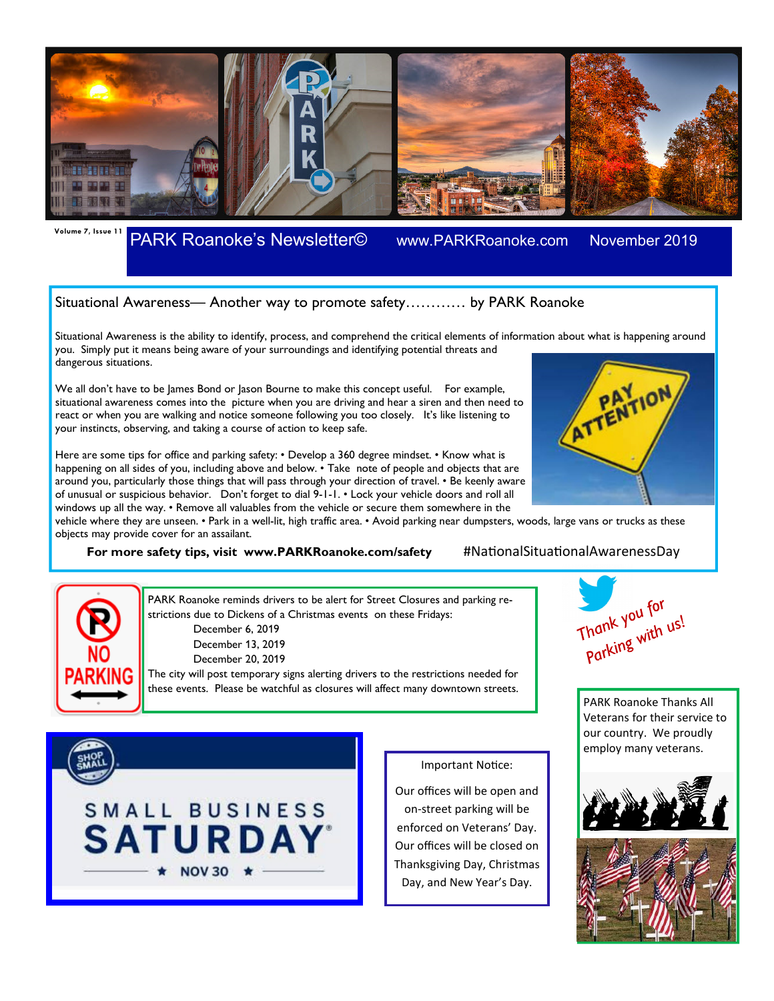

**Volume 7, Issue 11** PARK Roanoke's Newsletter© www.PARKRoanoke.com November 2019

## Situational Awareness— Another way to promote safety………… by PARK Roanoke

Situational Awareness is the ability to identify, process, and comprehend the critical elements of information about what is happening around you. Simply put it means being aware of your surroundings and identifying potential threats and dangerous situations. ATTENTION

We all don't have to be James Bond or Jason Bourne to make this concept useful. For example, situational awareness comes into the picture when you are driving and hear a siren and then need to react or when you are walking and notice someone following you too closely. It's like listening to your instincts, observing, and taking a course of action to keep safe.

Here are some tips for office and parking safety: • Develop a 360 degree mindset. • Know what is happening on all sides of you, including above and below. • Take note of people and objects that are around you, particularly those things that will pass through your direction of travel. • Be keenly aware of unusual or suspicious behavior. Don't forget to dial 9-1-1. • Lock your vehicle doors and roll all windows up all the way. • Remove all valuables from the vehicle or secure them somewhere in the

vehicle where they are unseen. • Park in a well-lit, high traffic area. • Avoid parking near dumpsters, woods, large vans or trucks as these objects may provide cover for an assailant.

**For more safety tips, visit www.PARKRoanoke.com/safety** #NationalSituationalAwarenessDay



PARK Roanoke reminds drivers to be alert for Street Closures and parking restrictions due to Dickens of a Christmas events on these Fridays: December 6, 2019 December 13, 2019 December 20, 2019 The city will post temporary signs alerting drivers to the restrictions needed for

these events. Please be watchful as closures will affect many downtown streets.



Important Notice:

Our offices will be open and on-street parking will be enforced on Veterans' Day. Our offices will be closed on Thanksgiving Day, Christmas Day, and New Year's Day.



PARK Roanoke Thanks All Veterans for their service to our country. We proudly employ many veterans.

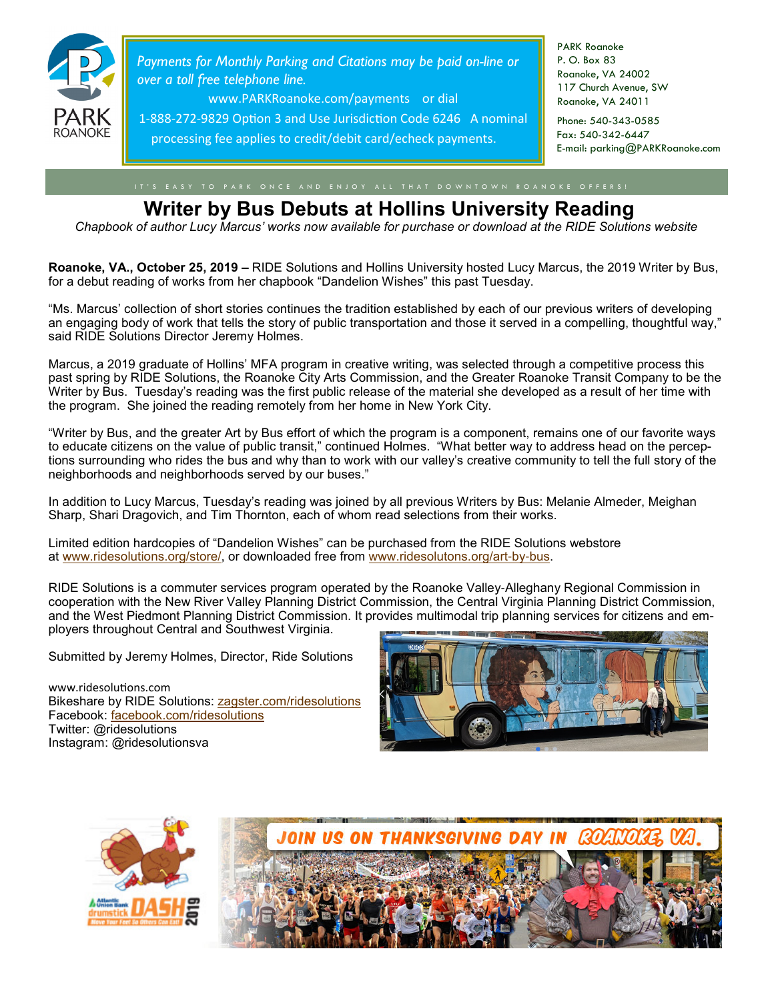

*Payments for Monthly Parking and Citations may be paid on-line or over a toll free telephone line.* 

www.PARKRoanoke.com/payments or dial

1-888-272-9829 Option 3 and Use Jurisdiction Code 6246 A nominal processing fee applies to credit/debit card/echeck payments.

PARK Roanoke P. O. Box 83 Roanoke, VA 24002 117 Church Avenue, SW Roanoke, VA 24011

Phone: 540-343-0585 Fax: 540-342-6447 E-mail: parking@PARKRoanoke.com

# **Writer by Bus Debuts at Hollins University Reading**

*Chapbook of author Lucy Marcus' works now available for purchase or download at the RIDE Solutions website*

**Roanoke, VA., October 25, 2019 –** RIDE Solutions and Hollins University hosted Lucy Marcus, the 2019 Writer by Bus, for a debut reading of works from her chapbook "Dandelion Wishes" this past Tuesday.

"Ms. Marcus' collection of short stories continues the tradition established by each of our previous writers of developing an engaging body of work that tells the story of public transportation and those it served in a compelling, thoughtful way," said RIDE Solutions Director Jeremy Holmes.

Marcus, a 2019 graduate of Hollins' MFA program in creative writing, was selected through a competitive process this past spring by RIDE Solutions, the Roanoke City Arts Commission, and the Greater Roanoke Transit Company to be the Writer by Bus. Tuesday's reading was the first public release of the material she developed as a result of her time with the program. She joined the reading remotely from her home in New York City.

"Writer by Bus, and the greater Art by Bus effort of which the program is a component, remains one of our favorite ways to educate citizens on the value of public transit," continued Holmes. "What better way to address head on the perceptions surrounding who rides the bus and why than to work with our valley's creative community to tell the full story of the neighborhoods and neighborhoods served by our buses."

In addition to Lucy Marcus, Tuesday's reading was joined by all previous Writers by Bus: Melanie Almeder, Meighan Sharp, Shari Dragovich, and Tim Thornton, each of whom read selections from their works.

Limited edition hardcopies of "Dandelion Wishes" can be purchased from the RIDE Solutions webstore at www.ridesolutions.org/store/, or downloaded free from www.ridesolutons.org/art-by-bus.

RIDE Solutions is a commuter services program operated by the Roanoke Valley-Alleghany Regional Commission in cooperation with the New River Valley Planning District Commission, the Central Virginia Planning District Commission, and the West Piedmont Planning District Commission. It provides multimodal trip planning services for citizens and employers throughout Central and Southwest Virginia.

Submitted by Jeremy Holmes, Director, Ride Solutions

www.ridesolutions.com Bikeshare by RIDE Solutions: zagster.com/ridesolutions Facebook: facebook.com/ridesolutions Twitter: @ridesolutions Instagram: @ridesolutionsva